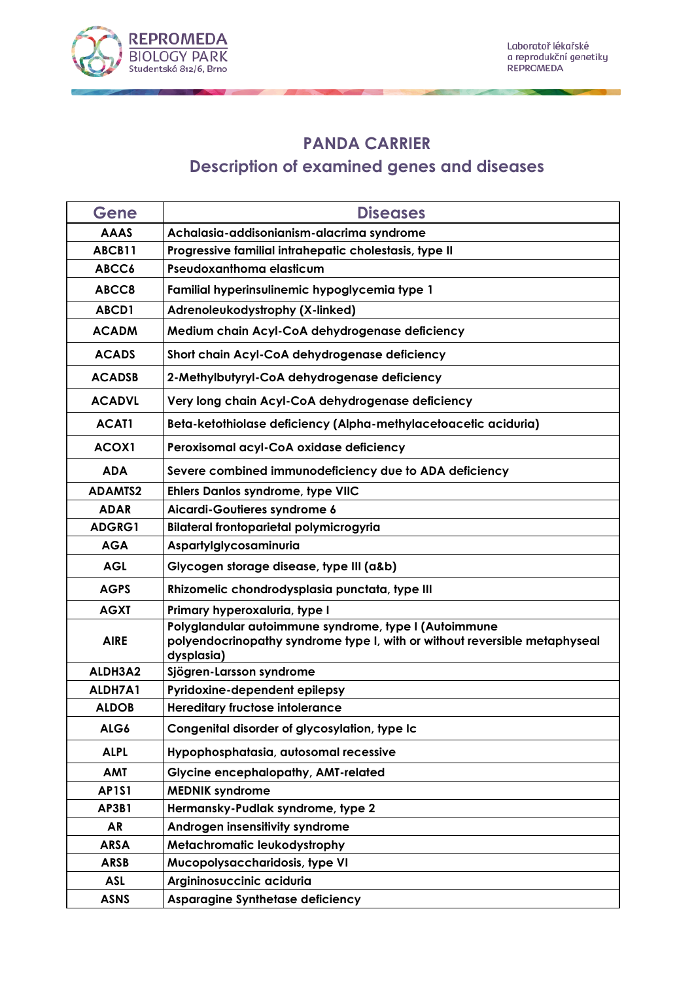

## **PANDA CARRIER**

## **Description of examined genes and diseases**

| Gene           | <b>Diseases</b>                                                                                                                                   |
|----------------|---------------------------------------------------------------------------------------------------------------------------------------------------|
| <b>AAAS</b>    | Achalasia-addisonianism-alacrima syndrome                                                                                                         |
| ABCB11         | Progressive familial intrahepatic cholestasis, type II                                                                                            |
| ABCC6          | Pseudoxanthoma elasticum                                                                                                                          |
| ABCC8          | Familial hyperinsulinemic hypoglycemia type 1                                                                                                     |
| ABCD1          | Adrenoleukodystrophy (X-linked)                                                                                                                   |
| <b>ACADM</b>   | Medium chain Acyl-CoA dehydrogenase deficiency                                                                                                    |
| <b>ACADS</b>   | Short chain Acyl-CoA dehydrogenase deficiency                                                                                                     |
| <b>ACADSB</b>  | 2-Methylbutyryl-CoA dehydrogenase deficiency                                                                                                      |
| <b>ACADVL</b>  | Very long chain Acyl-CoA dehydrogenase deficiency                                                                                                 |
| <b>ACAT1</b>   | Beta-ketothiolase deficiency (Alpha-methylacetoacetic aciduria)                                                                                   |
| ACOX1          | Peroxisomal acyl-CoA oxidase deficiency                                                                                                           |
| <b>ADA</b>     | Severe combined immunodeficiency due to ADA deficiency                                                                                            |
| <b>ADAMIS2</b> | Ehlers Danlos syndrome, type VIIC                                                                                                                 |
| <b>ADAR</b>    | Aicardi-Goutieres syndrome 6                                                                                                                      |
| ADGRG1         | Bilateral frontoparietal polymicrogyria                                                                                                           |
| <b>AGA</b>     | Aspartylglycosaminuria                                                                                                                            |
| <b>AGL</b>     | Glycogen storage disease, type III (a&b)                                                                                                          |
| <b>AGPS</b>    | Rhizomelic chondrodysplasia punctata, type III                                                                                                    |
| <b>AGXT</b>    | Primary hyperoxaluria, type I                                                                                                                     |
| <b>AIRE</b>    | Polyglandular autoimmune syndrome, type I (Autoimmune<br>polyendocrinopathy syndrome type I, with or without reversible metaphyseal<br>dysplasia) |
| ALDH3A2        | Sjögren-Larsson syndrome                                                                                                                          |
| ALDH7A1        | Pyridoxine-dependent epilepsy                                                                                                                     |
| <b>ALDOB</b>   | <b>Hereditary fructose intolerance</b>                                                                                                            |
| ALG6           | Congenital disorder of glycosylation, type Ic                                                                                                     |
| <b>ALPL</b>    | Hypophosphatasia, autosomal recessive                                                                                                             |
| <b>AMT</b>     | <b>Glycine encephalopathy, AMT-related</b>                                                                                                        |
| <b>AP1S1</b>   | <b>MEDNIK syndrome</b>                                                                                                                            |
| <b>AP3B1</b>   | Hermansky-Pudlak syndrome, type 2                                                                                                                 |
| <b>AR</b>      | Androgen insensitivity syndrome                                                                                                                   |
| <b>ARSA</b>    | Metachromatic leukodystrophy                                                                                                                      |
| <b>ARSB</b>    | Mucopolysaccharidosis, type VI                                                                                                                    |
| <b>ASL</b>     | Argininosuccinic aciduria                                                                                                                         |
| <b>ASNS</b>    | Asparagine Synthetase deficiency                                                                                                                  |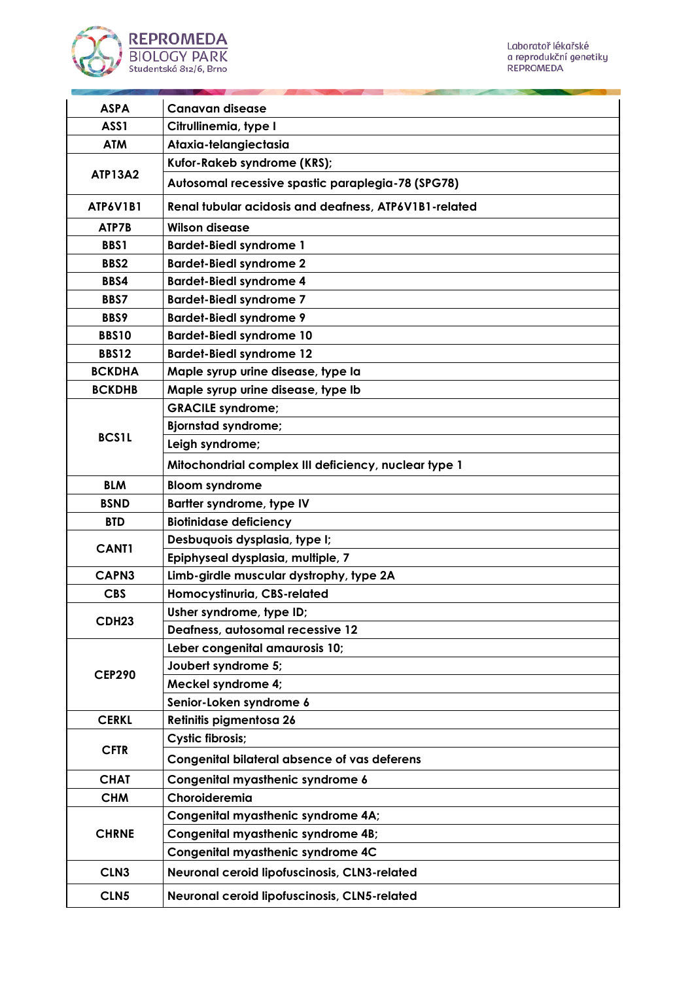

| <b>ASPA</b>       | <b>Canavan disease</b>                                |
|-------------------|-------------------------------------------------------|
| ASS1              | Citrullinemia, type I                                 |
| <b>ATM</b>        | Ataxia-telangiectasia                                 |
|                   | Kufor-Rakeb syndrome (KRS);                           |
| <b>ATP13A2</b>    | Autosomal recessive spastic paraplegia-78 (SPG78)     |
| <b>ATP6V1B1</b>   | Renal tubular acidosis and deafness, ATP6V1B1-related |
| ATP7B             | <b>Wilson disease</b>                                 |
| <b>BBS1</b>       | <b>Bardet-Biedl syndrome 1</b>                        |
| BBS2              | <b>Bardet-Biedl syndrome 2</b>                        |
| BBS4              | <b>Bardet-Biedl syndrome 4</b>                        |
| <b>BBS7</b>       | <b>Bardet-Biedl syndrome 7</b>                        |
| BBS9              | <b>Bardet-Biedl syndrome 9</b>                        |
| <b>BBS10</b>      | <b>Bardet-Biedl syndrome 10</b>                       |
| <b>BBS12</b>      | <b>Bardet-Biedl syndrome 12</b>                       |
| <b>BCKDHA</b>     | Maple syrup urine disease, type la                    |
| <b>BCKDHB</b>     | Maple syrup urine disease, type Ib                    |
|                   | <b>GRACILE syndrome;</b>                              |
|                   | <b>Bjornstad syndrome;</b>                            |
| <b>BCS1L</b>      | Leigh syndrome;                                       |
|                   | Mitochondrial complex III deficiency, nuclear type 1  |
| <b>BLM</b>        | <b>Bloom syndrome</b>                                 |
| <b>BSND</b>       | Bartter syndrome, type IV                             |
| <b>BTD</b>        | <b>Biotinidase deficiency</b>                         |
|                   | Desbuquois dysplasia, type I;                         |
| <b>CANT1</b>      | Epiphyseal dysplasia, multiple, 7                     |
| CAPN3             | Limb-girdle muscular dystrophy, type 2A               |
| <b>CBS</b>        | Homocystinuria, CBS-related                           |
|                   | Usher syndrome, type ID;                              |
| CDH <sub>23</sub> | Deafness, autosomal recessive 12                      |
|                   | Leber congenital amaurosis 10;                        |
|                   | Joubert syndrome 5;                                   |
| <b>CEP290</b>     | Meckel syndrome 4;                                    |
|                   | Senior-Loken syndrome 6                               |
| <b>CERKL</b>      | Retinitis pigmentosa 26                               |
|                   | <b>Cystic fibrosis;</b>                               |
| <b>CFTR</b>       | <b>Congenital bilateral absence of vas deferens</b>   |
| <b>CHAT</b>       | Congenital myasthenic syndrome 6                      |
| <b>CHM</b>        | Choroideremia                                         |
| <b>CHRNE</b>      | Congenital myasthenic syndrome 4A;                    |
|                   | Congenital myasthenic syndrome 4B;                    |
|                   | Congenital myasthenic syndrome 4C                     |
| CLN <sub>3</sub>  | Neuronal ceroid lipofuscinosis, CLN3-related          |
| CLN5              | Neuronal ceroid lipofuscinosis, CLN5-related          |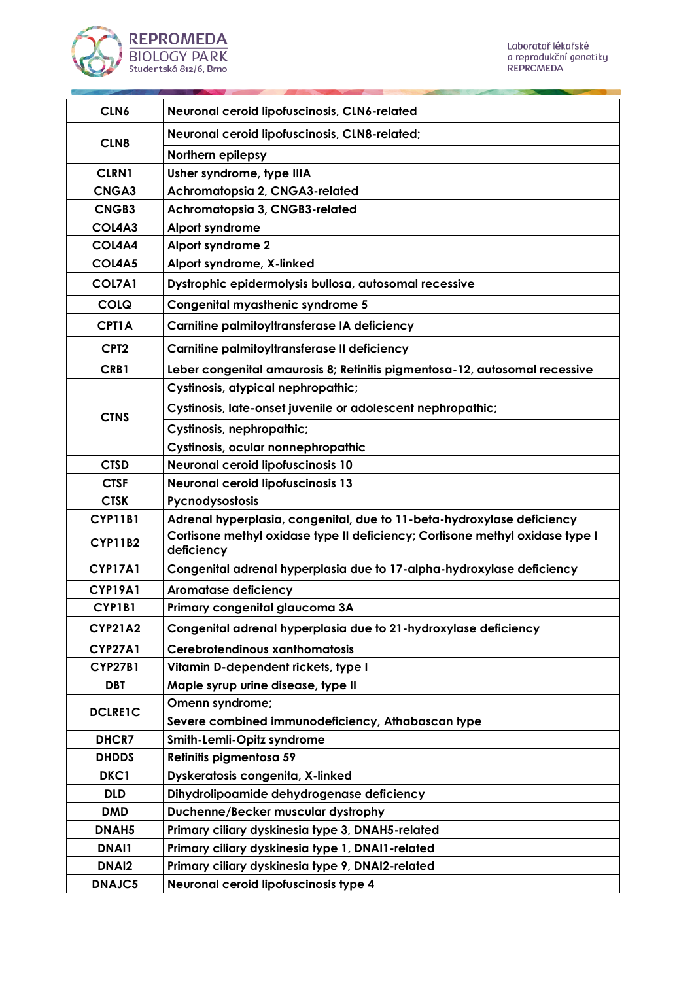

| CLN6              | Neuronal ceroid lipofuscinosis, CLN6-related                                               |
|-------------------|--------------------------------------------------------------------------------------------|
| CLN <sub>8</sub>  | Neuronal ceroid lipofuscinosis, CLN8-related;                                              |
|                   | Northern epilepsy                                                                          |
| <b>CLRN1</b>      | Usher syndrome, type IIIA                                                                  |
| <b>CNGA3</b>      | Achromatopsia 2, CNGA3-related                                                             |
| CNGB3             | Achromatopsia 3, CNGB3-related                                                             |
| COL4A3            | Alport syndrome                                                                            |
| COL4A4            | Alport syndrome 2                                                                          |
| COL4A5            | Alport syndrome, X-linked                                                                  |
| COL7A1            | Dystrophic epidermolysis bullosa, autosomal recessive                                      |
| <b>COLQ</b>       | Congenital myasthenic syndrome 5                                                           |
| <b>CPT1A</b>      | Carnitine palmitoyltransferase IA deficiency                                               |
| CPT <sub>2</sub>  | Carnitine palmitoyltransferase II deficiency                                               |
| CRB1              | Leber congenital amaurosis 8; Retinitis pigmentosa-12, autosomal recessive                 |
|                   | Cystinosis, atypical nephropathic;                                                         |
| <b>CTNS</b>       | Cystinosis, late-onset juvenile or adolescent nephropathic;                                |
|                   | Cystinosis, nephropathic;                                                                  |
|                   | Cystinosis, ocular nonnephropathic                                                         |
| <b>CTSD</b>       | Neuronal ceroid lipofuscinosis 10                                                          |
| <b>CTSF</b>       | <b>Neuronal ceroid lipofuscinosis 13</b>                                                   |
| <b>CTSK</b>       | Pycnodysostosis                                                                            |
| <b>CYP11B1</b>    | Adrenal hyperplasia, congenital, due to 11-beta-hydroxylase deficiency                     |
| <b>CYP11B2</b>    | Cortisone methyl oxidase type II deficiency; Cortisone methyl oxidase type I<br>deficiency |
| <b>CYP17A1</b>    | Congenital adrenal hyperplasia due to 17-alpha-hydroxylase deficiency                      |
| <b>CYP19A1</b>    | <b>Aromatase deficiency</b>                                                                |
| CYP1B1            | Primary congenital glaucoma 3A                                                             |
| <b>CYP21A2</b>    | Congenital adrenal hyperplasia due to 21-hydroxylase deficiency                            |
| <b>CYP27A1</b>    | Cerebrotendinous xanthomatosis                                                             |
| <b>CYP27B1</b>    | Vitamin D-dependent rickets, type I                                                        |
| <b>DBT</b>        | Maple syrup urine disease, type II                                                         |
|                   | Omenn syndrome;                                                                            |
| <b>DCLRE1C</b>    | Severe combined immunodeficiency, Athabascan type                                          |
| <b>DHCR7</b>      | Smith-Lemli-Opitz syndrome                                                                 |
| <b>DHDDS</b>      | Retinitis pigmentosa 59                                                                    |
| DKC1              | Dyskeratosis congenita, X-linked                                                           |
| <b>DLD</b>        | Dihydrolipoamide dehydrogenase deficiency                                                  |
| <b>DMD</b>        | Duchenne/Becker muscular dystrophy                                                         |
| DNAH5             | Primary ciliary dyskinesia type 3, DNAH5-related                                           |
| <b>DNAI1</b>      | Primary ciliary dyskinesia type 1, DNAI1-related                                           |
| DNAI <sub>2</sub> | Primary ciliary dyskinesia type 9, DNAI2-related                                           |
| <b>DNAJC5</b>     | Neuronal ceroid lipofuscinosis type 4                                                      |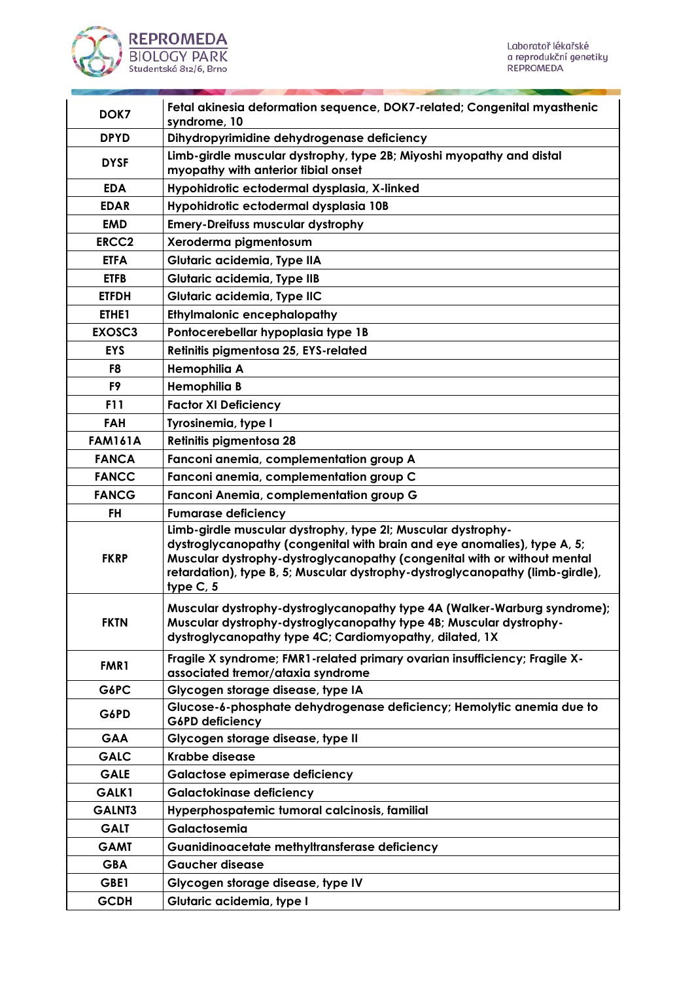

| DOK7           | Fetal akinesia deformation sequence, DOK7-related; Congenital myasthenic<br>syndrome, 10                                                                                                                                                                                                                           |
|----------------|--------------------------------------------------------------------------------------------------------------------------------------------------------------------------------------------------------------------------------------------------------------------------------------------------------------------|
| <b>DPYD</b>    | Dihydropyrimidine dehydrogenase deficiency                                                                                                                                                                                                                                                                         |
| <b>DYSF</b>    | Limb-girdle muscular dystrophy, type 2B; Miyoshi myopathy and distal<br>myopathy with anterior tibial onset                                                                                                                                                                                                        |
| <b>EDA</b>     | Hypohidrotic ectodermal dysplasia, X-linked                                                                                                                                                                                                                                                                        |
| <b>EDAR</b>    | Hypohidrotic ectodermal dysplasia 10B                                                                                                                                                                                                                                                                              |
| <b>EMD</b>     | <b>Emery-Dreifuss muscular dystrophy</b>                                                                                                                                                                                                                                                                           |
| <b>ERCC2</b>   | Xeroderma pigmentosum                                                                                                                                                                                                                                                                                              |
| <b>ETFA</b>    | Glutaric acidemia, Type IIA                                                                                                                                                                                                                                                                                        |
| <b>ETFB</b>    | Glutaric acidemia, Type IIB                                                                                                                                                                                                                                                                                        |
| <b>ETFDH</b>   | Glutaric acidemia, Type IIC                                                                                                                                                                                                                                                                                        |
| ETHE1          | <b>Ethylmalonic encephalopathy</b>                                                                                                                                                                                                                                                                                 |
| EXOSC3         | Pontocerebellar hypoplasia type 1B                                                                                                                                                                                                                                                                                 |
| <b>EYS</b>     | Retinitis pigmentosa 25, EYS-related                                                                                                                                                                                                                                                                               |
| F8             | Hemophilia A                                                                                                                                                                                                                                                                                                       |
| F9             | Hemophilia B                                                                                                                                                                                                                                                                                                       |
| <b>F11</b>     | <b>Factor XI Deficiency</b>                                                                                                                                                                                                                                                                                        |
| <b>FAH</b>     | Tyrosinemia, type I                                                                                                                                                                                                                                                                                                |
| <b>FAM161A</b> | Retinitis pigmentosa 28                                                                                                                                                                                                                                                                                            |
| <b>FANCA</b>   | Fanconi anemia, complementation group A                                                                                                                                                                                                                                                                            |
| <b>FANCC</b>   | Fanconi anemia, complementation group C                                                                                                                                                                                                                                                                            |
| <b>FANCG</b>   | Fanconi Anemia, complementation group G                                                                                                                                                                                                                                                                            |
| <b>FH</b>      | <b>Fumarase deficiency</b>                                                                                                                                                                                                                                                                                         |
| <b>FKRP</b>    | Limb-girdle muscular dystrophy, type 21; Muscular dystrophy-<br>dystroglycanopathy (congenital with brain and eye anomalies), type A, 5;<br>Muscular dystrophy-dystroglycanopathy (congenital with or without mental<br>retardation), type B, 5; Muscular dystrophy-dystroglycanopathy (limb-girdle),<br>type C, 5 |
| <b>FKTN</b>    | Muscular dystrophy-dystroglycanopathy type 4A (Walker-Warburg syndrome);<br>Muscular dystrophy-dystroglycanopathy type 4B; Muscular dystrophy-<br>dystroglycanopathy type 4C; Cardiomyopathy, dilated, 1X                                                                                                          |
| FMR1           | Fragile X syndrome; FMR1-related primary ovarian insufficiency; Fragile X-<br>associated tremor/ataxia syndrome                                                                                                                                                                                                    |
| G6PC           | Glycogen storage disease, type IA                                                                                                                                                                                                                                                                                  |
| G6PD           | Glucose-6-phosphate dehydrogenase deficiency; Hemolytic anemia due to<br>G6PD deficiency                                                                                                                                                                                                                           |
| <b>GAA</b>     | Glycogen storage disease, type II                                                                                                                                                                                                                                                                                  |
| <b>GALC</b>    | <b>Krabbe disease</b>                                                                                                                                                                                                                                                                                              |
| <b>GALE</b>    | <b>Galactose epimerase deficiency</b>                                                                                                                                                                                                                                                                              |
| GALK1          | <b>Galactokinase deficiency</b>                                                                                                                                                                                                                                                                                    |
| GALNT3         | Hyperphospatemic tumoral calcinosis, familial                                                                                                                                                                                                                                                                      |
| <b>GALT</b>    | Galactosemia                                                                                                                                                                                                                                                                                                       |
| <b>GAMT</b>    | Guanidinoacetate methyltransferase deficiency                                                                                                                                                                                                                                                                      |
| <b>GBA</b>     | <b>Gaucher disease</b>                                                                                                                                                                                                                                                                                             |
| GBE1           | Glycogen storage disease, type IV                                                                                                                                                                                                                                                                                  |
| <b>GCDH</b>    | Glutaric acidemia, type I                                                                                                                                                                                                                                                                                          |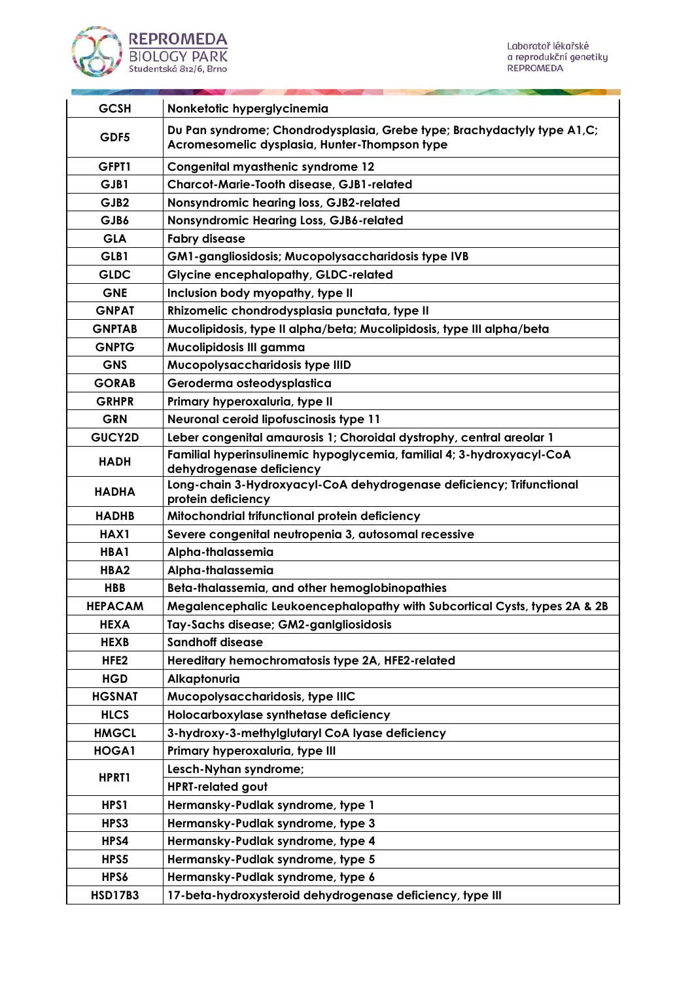

a l

| <b>GCSH</b>      | Nonketotic hyperglycinemia                                                                                                |
|------------------|---------------------------------------------------------------------------------------------------------------------------|
| GDF5             | Du Pan syndrome; Chondrodysplasia, Grebe type; Brachydactyly type A1, C;<br>Acromesomelic dysplasia, Hunter-Thompson type |
| GFPT1            | Congenital myasthenic syndrome 12                                                                                         |
| GJB1             | Charcot-Marie-Tooth disease, GJB1-related                                                                                 |
| GJB <sub>2</sub> | Nonsyndromic hearing loss, GJB2-related                                                                                   |
| GJB6             | Nonsyndromic Hearing Loss, GJB6-related                                                                                   |
| <b>GLA</b>       | <b>Fabry disease</b>                                                                                                      |
| GLB1             | GM1-gangliosidosis; Mucopolysaccharidosis type IVB                                                                        |
| <b>GLDC</b>      | <b>Glycine encephalopathy, GLDC-related</b>                                                                               |
| <b>GNE</b>       | Inclusion body myopathy, type II                                                                                          |
| <b>GNPAT</b>     | Rhizomelic chondrodysplasia punctata, type II                                                                             |
| <b>GNPTAB</b>    | Mucolipidosis, type II alpha/beta; Mucolipidosis, type III alpha/beta                                                     |
| <b>GNPTG</b>     | Mucolipidosis III gamma                                                                                                   |
| <b>GNS</b>       | Mucopolysaccharidosis type IIID                                                                                           |
| <b>GORAB</b>     | Geroderma osteodysplastica                                                                                                |
| <b>GRHPR</b>     | Primary hyperoxaluria, type II                                                                                            |
| <b>GRN</b>       | Neuronal ceroid lipofuscinosis type 11                                                                                    |
| <b>GUCY2D</b>    | Leber congenital amaurosis 1; Choroidal dystrophy, central areolar 1                                                      |
| <b>HADH</b>      | Familial hyperinsulinemic hypoglycemia, familial 4; 3-hydroxyacyl-CoA<br>dehydrogenase deficiency                         |
| <b>HADHA</b>     | Long-chain 3-Hydroxyacyl-CoA dehydrogenase deficiency; Trifunctional<br>protein deficiency                                |
| <b>HADHB</b>     | Mitochondrial trifunctional protein deficiency                                                                            |
| HAX1             | Severe congenital neutropenia 3, autosomal recessive                                                                      |
| HBA1             | Alpha-thalassemia                                                                                                         |
| HBA <sub>2</sub> | Alpha-thalassemia                                                                                                         |
| <b>HBB</b>       | Beta-thalassemia, and other hemoglobinopathies                                                                            |
| <b>HEPACAM</b>   | Megalencephalic Leukoencephalopathy with Subcortical Cysts, types 2A & 2B                                                 |
| <b>HEXA</b>      | Tay-Sachs disease; GM2-ganlgliosidosis                                                                                    |
| <b>HEXB</b>      | <b>Sandhoff disease</b>                                                                                                   |
| HFE <sub>2</sub> | Hereditary hemochromatosis type 2A, HFE2-related                                                                          |
| <b>HGD</b>       | Alkaptonuria                                                                                                              |
| <b>HGSNAT</b>    | Mucopolysaccharidosis, type IIIC                                                                                          |
| <b>HLCS</b>      | Holocarboxylase synthetase deficiency                                                                                     |
| <b>HMGCL</b>     | 3-hydroxy-3-methylglutaryl CoA lyase deficiency                                                                           |
| HOGA1            | Primary hyperoxaluria, type III                                                                                           |
| HPRT1            | Lesch-Nyhan syndrome;                                                                                                     |
|                  | <b>HPRT-related gout</b>                                                                                                  |
| HPS1             | Hermansky-Pudlak syndrome, type 1                                                                                         |
| HPS3             | Hermansky-Pudlak syndrome, type 3                                                                                         |
| HPS4             | Hermansky-Pudlak syndrome, type 4                                                                                         |
| HPS5             | Hermansky-Pudlak syndrome, type 5                                                                                         |
| HPS6             | Hermansky-Pudlak syndrome, type 6                                                                                         |
| <b>HSD17B3</b>   | 17-beta-hydroxysteroid dehydrogenase deficiency, type III                                                                 |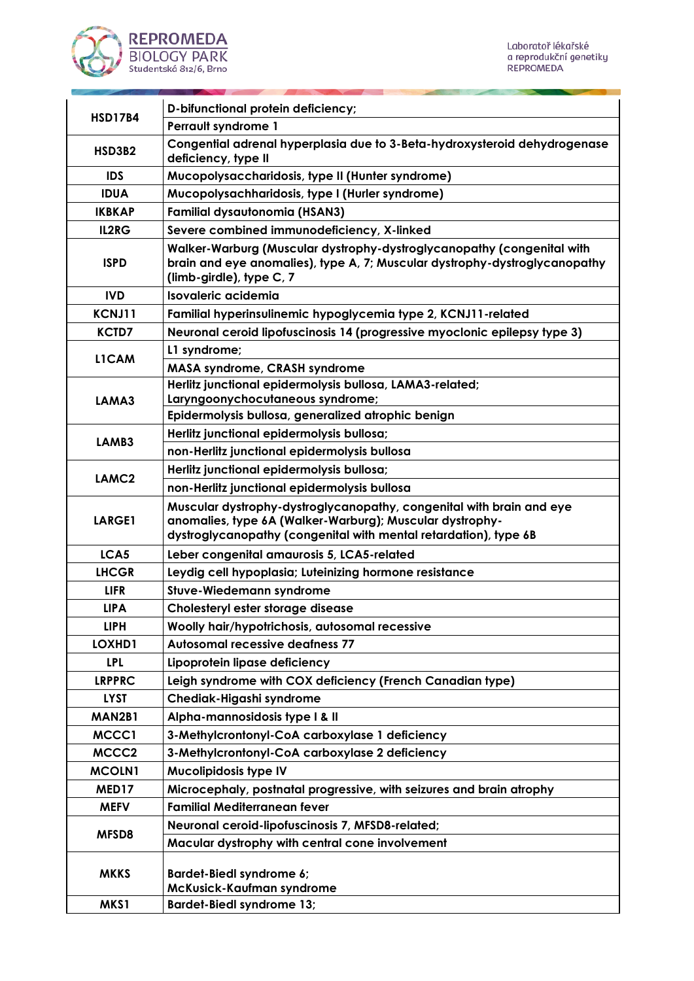

and the



| <b>HSD17B4</b>    | D-bifunctional protein deficiency;                                                                                                                                                                   |
|-------------------|------------------------------------------------------------------------------------------------------------------------------------------------------------------------------------------------------|
|                   | <b>Perrault syndrome 1</b>                                                                                                                                                                           |
| <b>HSD3B2</b>     | Congential adrenal hyperplasia due to 3-Beta-hydroxysteroid dehydrogenase<br>deficiency, type II                                                                                                     |
| <b>IDS</b>        | Mucopolysaccharidosis, type II (Hunter syndrome)                                                                                                                                                     |
| <b>IDUA</b>       | Mucopolysachharidosis, type I (Hurler syndrome)                                                                                                                                                      |
| <b>IKBKAP</b>     | <b>Familial dysautonomia (HSAN3)</b>                                                                                                                                                                 |
| IL2RG             | Severe combined immunodeficiency, X-linked                                                                                                                                                           |
| <b>ISPD</b>       | Walker-Warburg (Muscular dystrophy-dystroglycanopathy (congenital with<br>brain and eye anomalies), type A, 7; Muscular dystrophy-dystroglycanopathy<br>(limb-girdle), type C, 7                     |
| <b>IVD</b>        | Isovaleric acidemia                                                                                                                                                                                  |
| KCNJ11            | Familial hyperinsulinemic hypoglycemia type 2, KCNJ11-related                                                                                                                                        |
| <b>KCTD7</b>      | Neuronal ceroid lipofuscinosis 14 (progressive myoclonic epilepsy type 3)                                                                                                                            |
| L1CAM             | L1 syndrome;                                                                                                                                                                                         |
|                   | <b>MASA syndrome, CRASH syndrome</b>                                                                                                                                                                 |
|                   | Herlitz junctional epidermolysis bullosa, LAMA3-related;                                                                                                                                             |
| LAMA3             | Laryngoonychocutaneous syndrome;                                                                                                                                                                     |
|                   | Epidermolysis bullosa, generalized atrophic benign                                                                                                                                                   |
| LAMB3             | Herlitz junctional epidermolysis bullosa;                                                                                                                                                            |
|                   | non-Herlitz junctional epidermolysis bullosa                                                                                                                                                         |
| LAMC <sub>2</sub> | Herlitz junctional epidermolysis bullosa;                                                                                                                                                            |
|                   | non-Herlitz junctional epidermolysis bullosa                                                                                                                                                         |
| <b>LARGE1</b>     | Muscular dystrophy-dystroglycanopathy, congenital with brain and eye<br>anomalies, type 6A (Walker-Warburg); Muscular dystrophy-<br>dystroglycanopathy (congenital with mental retardation), type 6B |
| LCA5              | Leber congenital amaurosis 5, LCA5-related                                                                                                                                                           |
| <b>LHCGR</b>      | Leydig cell hypoplasia; Luteinizing hormone resistance                                                                                                                                               |
| <b>LIFR</b>       | Stuve-Wiedemann syndrome                                                                                                                                                                             |
| <b>LIPA</b>       | Cholesteryl ester storage disease                                                                                                                                                                    |
| <b>LIPH</b>       | Woolly hair/hypotrichosis, autosomal recessive                                                                                                                                                       |
| LOXHD1            | <b>Autosomal recessive deafness 77</b>                                                                                                                                                               |
| <b>LPL</b>        | Lipoprotein lipase deficiency                                                                                                                                                                        |
| <b>LRPPRC</b>     | Leigh syndrome with COX deficiency (French Canadian type)                                                                                                                                            |
| <b>LYST</b>       | Chediak-Higashi syndrome                                                                                                                                                                             |
| MAN2B1            | Alpha-mannosidosis type I & II                                                                                                                                                                       |
| MCCC1             | 3-Methylcrontonyl-CoA carboxylase 1 deficiency                                                                                                                                                       |
| MCCC2             | 3-Methylcrontonyl-CoA carboxylase 2 deficiency                                                                                                                                                       |
| <b>MCOLN1</b>     | Mucolipidosis type IV                                                                                                                                                                                |
| MED17             | Microcephaly, postnatal progressive, with seizures and brain atrophy                                                                                                                                 |
| <b>MEFV</b>       | <b>Familial Mediterranean fever</b>                                                                                                                                                                  |
|                   | Neuronal ceroid-lipofuscinosis 7, MFSD8-related;                                                                                                                                                     |
| MFSD8             | Macular dystrophy with central cone involvement                                                                                                                                                      |
| <b>MKKS</b>       | <b>Bardet-Biedl syndrome 6;</b><br>McKusick-Kaufman syndrome                                                                                                                                         |
| MKS1              | <b>Bardet-Biedl syndrome 13;</b>                                                                                                                                                                     |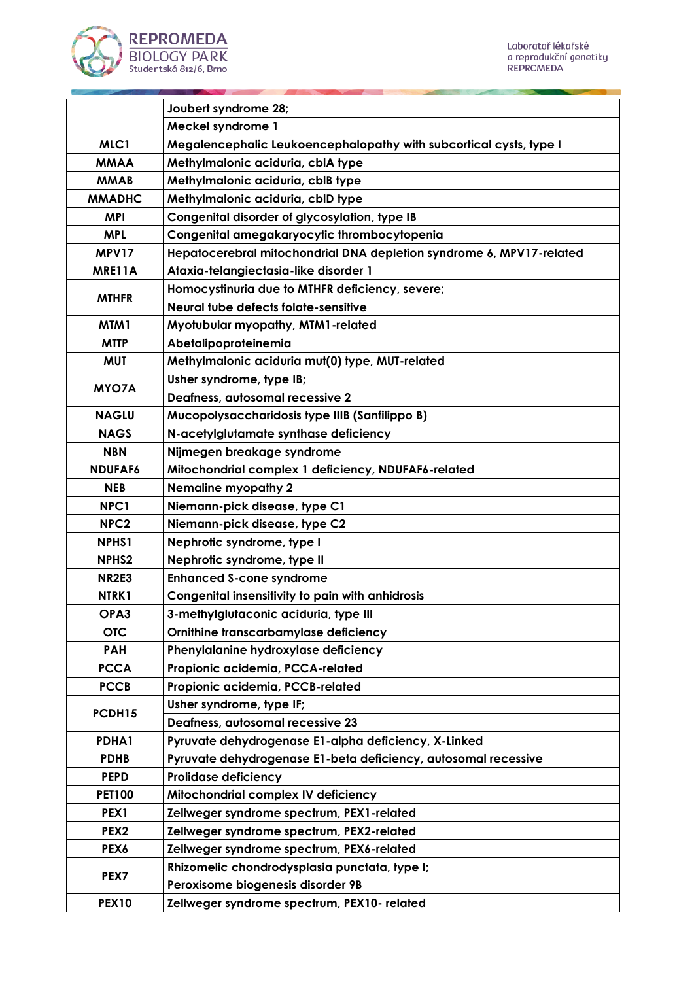



|                   | Joubert syndrome 28;                                                 |
|-------------------|----------------------------------------------------------------------|
|                   | Meckel syndrome 1                                                    |
| MLC1              | Megalencephalic Leukoencephalopathy with subcortical cysts, type I   |
| <b>MMAA</b>       | Methylmalonic aciduria, cblA type                                    |
| <b>MMAB</b>       | Methylmalonic aciduria, cblB type                                    |
| <b>MMADHC</b>     | Methylmalonic aciduria, cbID type                                    |
| <b>MPI</b>        | Congenital disorder of glycosylation, type IB                        |
| <b>MPL</b>        | Congenital amegakaryocytic thrombocytopenia                          |
| MPV17             | Hepatocerebral mitochondrial DNA depletion syndrome 6, MPV17-related |
| MRE11A            | Ataxia-telangiectasia-like disorder 1                                |
|                   | Homocystinuria due to MTHFR deficiency, severe;                      |
| <b>MTHFR</b>      | Neural tube defects folate-sensitive                                 |
| MTM1              | Myotubular myopathy, MTM1-related                                    |
| <b>MTTP</b>       | Abetalipoproteinemia                                                 |
| <b>MUT</b>        | Methylmalonic aciduria mut(0) type, MUT-related                      |
|                   | Usher syndrome, type IB;                                             |
| <b>MYO7A</b>      | Deafness, autosomal recessive 2                                      |
| <b>NAGLU</b>      | Mucopolysaccharidosis type IIIB (Sanfilippo B)                       |
| <b>NAGS</b>       | N-acetylglutamate synthase deficiency                                |
| <b>NBN</b>        | Nijmegen breakage syndrome                                           |
| NDUFAF6           | Mitochondrial complex 1 deficiency, NDUFAF6-related                  |
| <b>NEB</b>        | <b>Nemaline myopathy 2</b>                                           |
| NPC1              | Niemann-pick disease, type C1                                        |
| NPC <sub>2</sub>  | Niemann-pick disease, type C2                                        |
| NPHS1             | Nephrotic syndrome, type I                                           |
| NPHS <sub>2</sub> | Nephrotic syndrome, type II                                          |
| <b>NR2E3</b>      | <b>Enhanced S-cone syndrome</b>                                      |
| NTRK1             | Congenital insensitivity to pain with anhidrosis                     |
| OPA3              | 3-methylglutaconic aciduria, type III                                |
| <b>OTC</b>        | Ornithine transcarbamylase deficiency                                |
| <b>PAH</b>        | Phenylalanine hydroxylase deficiency                                 |
| <b>PCCA</b>       | Propionic acidemia, PCCA-related                                     |
| <b>PCCB</b>       | Propionic acidemia, PCCB-related                                     |
|                   | Usher syndrome, type IF;                                             |
| PCDH15            | Deafness, autosomal recessive 23                                     |
| PDHA1             | Pyruvate dehydrogenase E1-alpha deficiency, X-Linked                 |
| <b>PDHB</b>       | Pyruvate dehydrogenase E1-beta deficiency, autosomal recessive       |
| <b>PEPD</b>       | <b>Prolidase deficiency</b>                                          |
| <b>PET100</b>     | Mitochondrial complex IV deficiency                                  |
| PEX1              | Zellweger syndrome spectrum, PEX1-related                            |
| PEX <sub>2</sub>  | Zellweger syndrome spectrum, PEX2-related                            |
| PEX6              | Zellweger syndrome spectrum, PEX6-related                            |
|                   | Rhizomelic chondrodysplasia punctata, type I;                        |
| PEX7              | Peroxisome biogenesis disorder 9B                                    |
| <b>PEX10</b>      | Zellweger syndrome spectrum, PEX10- related                          |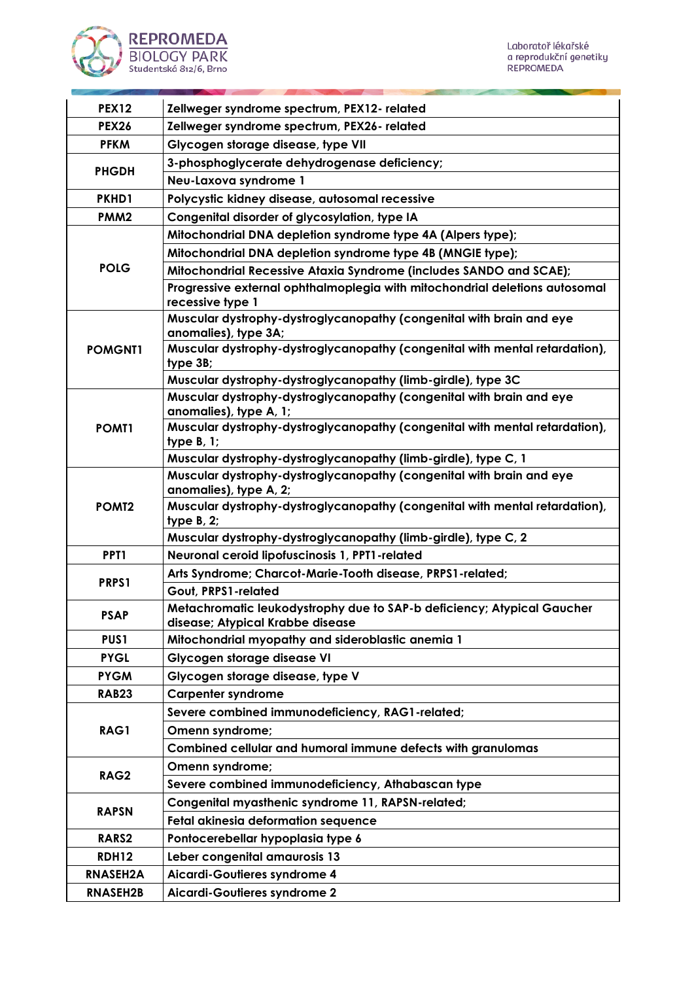



| <b>PEX12</b>      | Zellweger syndrome spectrum, PEX12- related                                                                                      |
|-------------------|----------------------------------------------------------------------------------------------------------------------------------|
| <b>PEX26</b>      | Zellweger syndrome spectrum, PEX26- related                                                                                      |
| <b>PFKM</b>       | Glycogen storage disease, type VII                                                                                               |
|                   | 3-phosphoglycerate dehydrogenase deficiency;                                                                                     |
| <b>PHGDH</b>      | Neu-Laxova syndrome 1                                                                                                            |
| PKHD1             | Polycystic kidney disease, autosomal recessive                                                                                   |
| PMM <sub>2</sub>  | Congenital disorder of glycosylation, type IA                                                                                    |
|                   | Mitochondrial DNA depletion syndrome type 4A (Alpers type);                                                                      |
|                   |                                                                                                                                  |
| <b>POLG</b>       | Mitochondrial DNA depletion syndrome type 4B (MNGIE type);<br>Mitochondrial Recessive Ataxia Syndrome (includes SANDO and SCAE); |
|                   | Progressive external ophthalmoplegia with mitochondrial deletions autosomal                                                      |
|                   | recessive type 1                                                                                                                 |
|                   | Muscular dystrophy-dystroglycanopathy (congenital with brain and eye<br>anomalies), type 3A;                                     |
| <b>POMGNT1</b>    | Muscular dystrophy-dystroglycanopathy (congenital with mental retardation),<br>type 3B;                                          |
|                   | Muscular dystrophy-dystroglycanopathy (limb-girdle), type 3C                                                                     |
|                   | Muscular dystrophy-dystroglycanopathy (congenital with brain and eye<br>anomalies), type A, 1;                                   |
| POMT1             | Muscular dystrophy-dystroglycanopathy (congenital with mental retardation),<br>type $B, 1$ ;                                     |
|                   | Muscular dystrophy-dystroglycanopathy (limb-girdle), type C, 1                                                                   |
|                   | Muscular dystrophy-dystroglycanopathy (congenital with brain and eye                                                             |
|                   | anomalies), type A, 2;                                                                                                           |
| POM <sub>T2</sub> | Muscular dystrophy-dystroglycanopathy (congenital with mental retardation),<br>type $B$ , $2$ ;                                  |
|                   | Muscular dystrophy-dystroglycanopathy (limb-girdle), type C, 2                                                                   |
| PPT <sub>1</sub>  | Neuronal ceroid lipofuscinosis 1, PPT1-related                                                                                   |
| PRPS1             | Arts Syndrome; Charcot-Marie-Tooth disease, PRPS1-related;                                                                       |
|                   | Gout, PRPS1-related                                                                                                              |
| <b>PSAP</b>       | Metachromatic leukodystrophy due to SAP-b deficiency; Atypical Gaucher<br>disease; Atypical Krabbe disease                       |
| PUS1              | Mitochondrial myopathy and sideroblastic anemia 1                                                                                |
| <b>PYGL</b>       | Glycogen storage disease VI                                                                                                      |
| <b>PYGM</b>       | Glycogen storage disease, type V                                                                                                 |
| <b>RAB23</b>      | <b>Carpenter syndrome</b>                                                                                                        |
|                   | Severe combined immunodeficiency, RAG1-related;                                                                                  |
| RAG1              | Omenn syndrome;                                                                                                                  |
|                   | Combined cellular and humoral immune defects with granulomas                                                                     |
| RAG2              | Omenn syndrome;                                                                                                                  |
|                   | Severe combined immunodeficiency, Athabascan type                                                                                |
| <b>RAPSN</b>      | Congenital myasthenic syndrome 11, RAPSN-related;                                                                                |
|                   | Fetal akinesia deformation sequence                                                                                              |
| RARS2             | Pontocerebellar hypoplasia type 6                                                                                                |
| <b>RDH12</b>      | Leber congenital amaurosis 13                                                                                                    |
| <b>RNASEH2A</b>   | Aicardi-Goutieres syndrome 4                                                                                                     |
| <b>RNASEH2B</b>   | Aicardi-Goutieres syndrome 2                                                                                                     |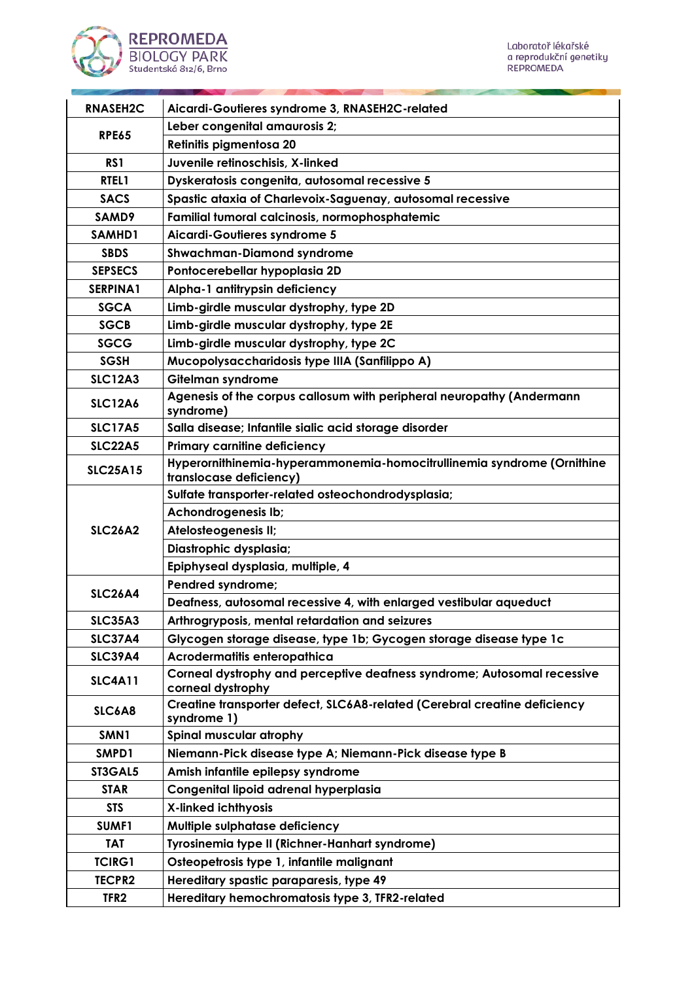

| <b>RNASEH2C</b>  | Aicardi-Goutieres syndrome 3, RNASEH2C-related                                                    |
|------------------|---------------------------------------------------------------------------------------------------|
| <b>RPE65</b>     | Leber congenital amaurosis 2;                                                                     |
|                  | Retinitis pigmentosa 20                                                                           |
| RS <sub>1</sub>  | Juvenile retinoschisis, X-linked                                                                  |
| RTEL1            | Dyskeratosis congenita, autosomal recessive 5                                                     |
| <b>SACS</b>      | Spastic ataxia of Charlevoix-Saguenay, autosomal recessive                                        |
| SAMD9            | Familial tumoral calcinosis, normophosphatemic                                                    |
| SAMHD1           | Aicardi-Goutieres syndrome 5                                                                      |
| <b>SBDS</b>      | <b>Shwachman-Diamond syndrome</b>                                                                 |
| <b>SEPSECS</b>   | Pontocerebellar hypoplasia 2D                                                                     |
| SERPINA1         | Alpha-1 antitrypsin deficiency                                                                    |
| <b>SGCA</b>      | Limb-girdle muscular dystrophy, type 2D                                                           |
| <b>SGCB</b>      | Limb-girdle muscular dystrophy, type 2E                                                           |
| <b>SGCG</b>      | Limb-girdle muscular dystrophy, type 2C                                                           |
| <b>SGSH</b>      | Mucopolysaccharidosis type IIIA (Sanfilippo A)                                                    |
| <b>SLC12A3</b>   | Gitelman syndrome                                                                                 |
| <b>SLC12A6</b>   | Agenesis of the corpus callosum with peripheral neuropathy (Andermann<br>syndrome)                |
| <b>SLC17A5</b>   | Salla disease; Infantile sialic acid storage disorder                                             |
| <b>SLC22A5</b>   | <b>Primary carnitine deficiency</b>                                                               |
| <b>SLC25A15</b>  | Hyperornithinemia-hyperammonemia-homocitrullinemia syndrome (Ornithine<br>translocase deficiency) |
|                  | Sulfate transporter-related osteochondrodysplasia;                                                |
|                  | Achondrogenesis Ib;                                                                               |
| <b>SLC26A2</b>   | Atelosteogenesis II;                                                                              |
|                  | Diastrophic dysplasia;                                                                            |
|                  | Epiphyseal dysplasia, multiple, 4                                                                 |
| <b>SLC26A4</b>   | Pendred syndrome;                                                                                 |
|                  | Deafness, autosomal recessive 4, with enlarged vestibular aqueduct                                |
| <b>SLC35A3</b>   | Arthrogryposis, mental retardation and seizures                                                   |
| <b>SLC37A4</b>   | Glycogen storage disease, type 1b; Gycogen storage disease type 1c                                |
| <b>SLC39A4</b>   | Acrodermatitis enteropathica                                                                      |
| <b>SLC4A11</b>   | Corneal dystrophy and perceptive deafness syndrome; Autosomal recessive<br>corneal dystrophy      |
| SLC6A8           | Creatine transporter defect, SLC6A8-related (Cerebral creatine deficiency<br>syndrome 1)          |
| SMN <sub>1</sub> | Spinal muscular atrophy                                                                           |
| SMPD1            | Niemann-Pick disease type A; Niemann-Pick disease type B                                          |
| ST3GAL5          | Amish infantile epilepsy syndrome                                                                 |
| <b>STAR</b>      | Congenital lipoid adrenal hyperplasia                                                             |
| <b>STS</b>       | X-linked ichthyosis                                                                               |
| SUMF1            | Multiple sulphatase deficiency                                                                    |
| <b>TAT</b>       | Tyrosinemia type II (Richner-Hanhart syndrome)                                                    |
| <b>TCIRG1</b>    | Osteopetrosis type 1, infantile malignant                                                         |
| <b>TECPR2</b>    | Hereditary spastic paraparesis, type 49                                                           |
| TFR <sub>2</sub> | Hereditary hemochromatosis type 3, TFR2-related                                                   |